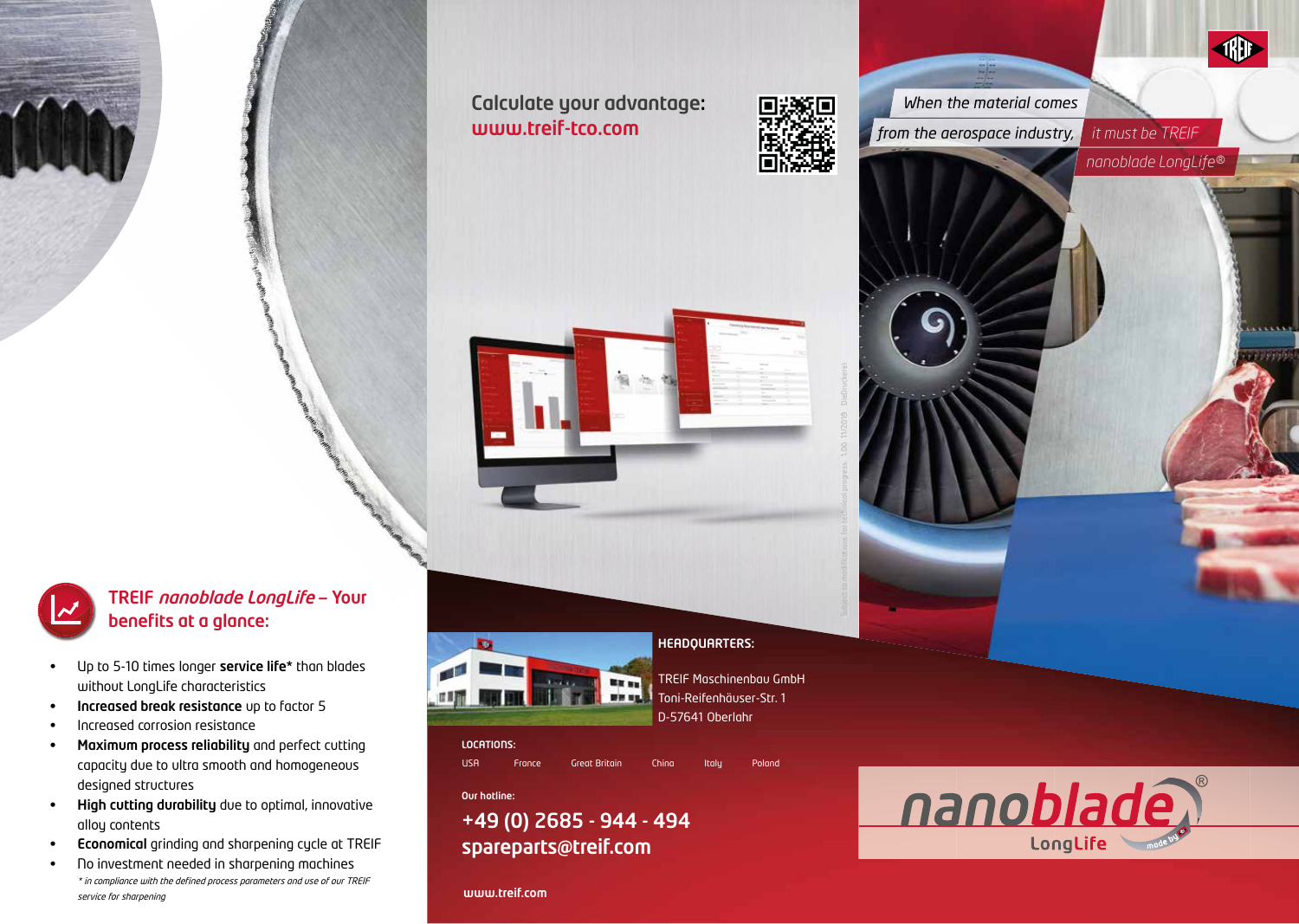Calculate your advantage:



**www.treif-tco.com** *it is the series of trom the aerospace industry,**it must be TREIF When the material comes*

*nanoblade LongLife®*

**diff** 



TREIF nanoblade LongLife — Your benefits at a glance:

- Up to 5-10 times longer service life\* than blades without LongLife characteristics
- Increased break resistance up to factor 5
- Increased corrosion resistance
- Maximum process reliability and perfect cutting capacity due to ultra smooth and homogeneous designed structures
- High cutting durability due to optimal, innovative alloy contents
- Economical grinding and sharpening cycle at TREIF
- No investment needed in sharpening machines \* in compliance with the defined process parameters and use of our TREIF service for sharpening



## LOCATIONS:

USA France Great Britain China Italy Poland

HEADQUARTERS:

Toni-Reifenhäuser-Str. 1 D-57641 Oberlahr

Our hotline:

## +49 (0) 2685 - 944 - 494 spareparts@treif.com

www.treif.com